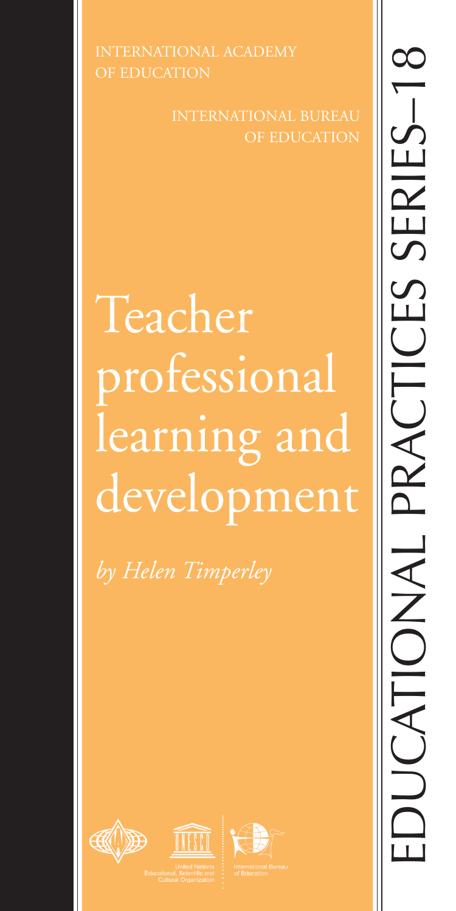OF EDUCATION

INTERNATIONAL BUREAU

# Teacher professional learning and development

*by Helen Timperley*







EDUCATIONAL PRACTICES SERIES–18SERIES-1 PRACTICES **DUCATIONAI**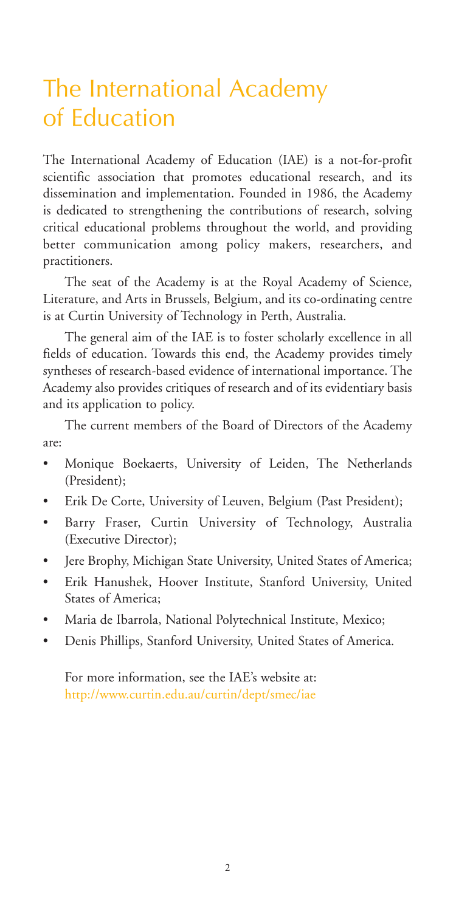# The International Academy of Education

The International Academy of Education (IAE) is a not-for-profit scientific association that promotes educational research, and its dissemination and implementation. Founded in 1986, the Academy is dedicated to strengthening the contributions of research, solving critical educational problems throughout the world, and providing better communication among policy makers, researchers, and practitioners.

The seat of the Academy is at the Royal Academy of Science, Literature, and Arts in Brussels, Belgium, and its co-ordinating centre is at Curtin University of Technology in Perth, Australia.

The general aim of the IAE is to foster scholarly excellence in all fields of education. Towards this end, the Academy provides timely syntheses of research-based evidence of international importance. The Academy also provides critiques of research and of its evidentiary basis and its application to policy.

The current members of the Board of Directors of the Academy are:

- Monique Boekaerts, University of Leiden, The Netherlands (President);
- Erik De Corte, University of Leuven, Belgium (Past President);
- Barry Fraser, Curtin University of Technology, Australia (Executive Director);
- Jere Brophy, Michigan State University, United States of America;
- Erik Hanushek, Hoover Institute, Stanford University, United States of America;
- Maria de Ibarrola, National Polytechnical Institute, Mexico;
- Denis Phillips, Stanford University, United States of America.

For more information, see the IAE's website at: http://www.curtin.edu.au/curtin/dept/smec/iae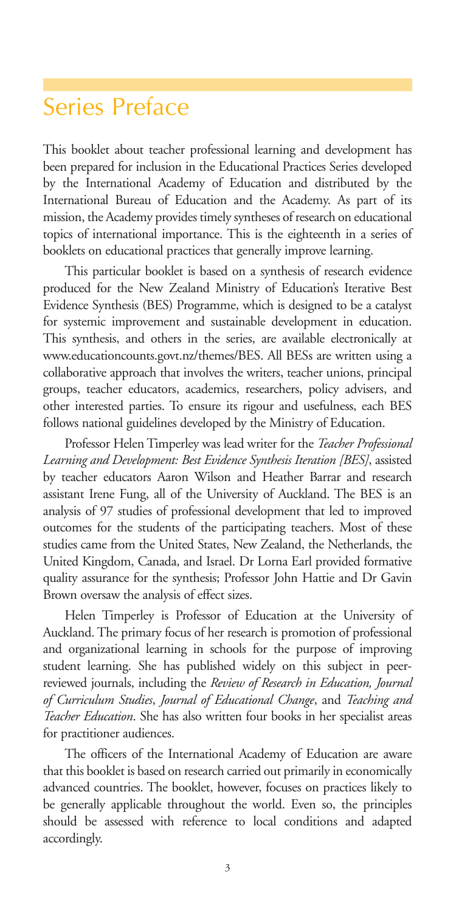### Series Preface

This booklet about teacher professional learning and development has been prepared for inclusion in the Educational Practices Series developed by the International Academy of Education and distributed by the International Bureau of Education and the Academy. As part of its mission, the Academy provides timely syntheses of research on educational topics of international importance. This is the eighteenth in a series of booklets on educational practices that generally improve learning.

This particular booklet is based on a synthesis of research evidence produced for the New Zealand Ministry of Education's Iterative Best Evidence Synthesis (BES) Programme, which is designed to be a catalyst for systemic improvement and sustainable development in education. This synthesis, and others in the series, are available electronically at www.educationcounts.govt.nz/themes/BES. All BESs are written using a collaborative approach that involves the writers, teacher unions, principal groups, teacher educators, academics, researchers, policy advisers, and other interested parties. To ensure its rigour and usefulness, each BES follows national guidelines developed by the Ministry of Education.

Professor Helen Timperley was lead writer for the *Teacher Professional Learning and Development: Best Evidence Synthesis Iteration [BES]*, assisted by teacher educators Aaron Wilson and Heather Barrar and research assistant Irene Fung, all of the University of Auckland. The BES is an analysis of 97 studies of professional development that led to improved outcomes for the students of the participating teachers. Most of these studies came from the United States, New Zealand, the Netherlands, the United Kingdom, Canada, and Israel. Dr Lorna Earl provided formative quality assurance for the synthesis; Professor John Hattie and Dr Gavin Brown oversaw the analysis of effect sizes.

Helen Timperley is Professor of Education at the University of Auckland. The primary focus of her research is promotion of professional and organizational learning in schools for the purpose of improving student learning. She has published widely on this subject in peerreviewed journals, including the *Review of Research in Education, Journal of Curriculum Studies*, *Journal of Educational Change*, and *Teaching and Teacher Education*. She has also written four books in her specialist areas for practitioner audiences.

The officers of the International Academy of Education are aware that this booklet is based on research carried out primarily in economically advanced countries. The booklet, however, focuses on practices likely to be generally applicable throughout the world. Even so, the principles should be assessed with reference to local conditions and adapted accordingly.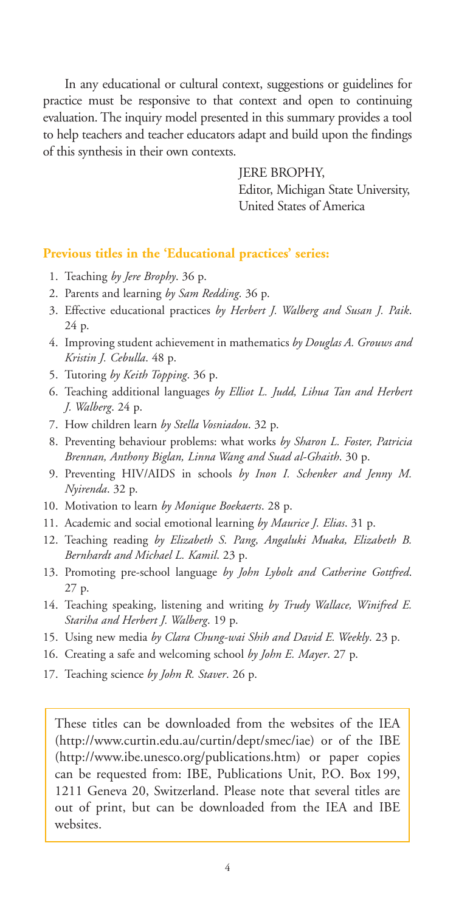In any educational or cultural context, suggestions or guidelines for practice must be responsive to that context and open to continuing evaluation. The inquiry model presented in this summary provides a tool to help teachers and teacher educators adapt and build upon the findings of this synthesis in their own contexts.

JERE BROPHY,

Editor, Michigan State University, United States of America

#### **Previous titles in the 'Educational practices' series:**

- 1. Teaching *by Jere Brophy*. 36 p.
- 2. Parents and learning *by Sam Redding*. 36 p.
- 3. Effective educational practices *by Herbert J. Walberg and Susan J. Paik*. 24 p.
- 4. Improving student achievement in mathematics *by Douglas A. Grouws and Kristin J. Cebulla*. 48 p.
- 5. Tutoring *by Keith Topping*. 36 p.
- 6. Teaching additional languages *by Elliot L. Judd, Lihua Tan and Herbert J. Walberg*. 24 p.
- 7. How children learn *by Stella Vosniadou*. 32 p.
- 8. Preventing behaviour problems: what works *by Sharon L. Foster, Patricia Brennan, Anthony Biglan, Linna Wang and Suad al-Ghaith*. 30 p.
- 9. Preventing HIV/AIDS in schools *by Inon I. Schenker and Jenny M. Nyirenda*. 32 p.
- 10. Motivation to learn *by Monique Boekaerts*. 28 p.
- 11. Academic and social emotional learning *by Maurice J. Elias*. 31 p.
- 12. Teaching reading *by Elizabeth S. Pang, Angaluki Muaka, Elizabeth B. Bernhardt and Michael L. Kamil*. 23 p.
- 13. Promoting pre-school language *by John Lybolt and Catherine Gottfred*. 27 p.
- 14. Teaching speaking, listening and writing *by Trudy Wallace, Winifred E. Stariha and Herbert J. Walberg*. 19 p.
- 15. Using new media *by Clara Chung-wai Shih and David E. Weekly*. 23 p.
- 16. Creating a safe and welcoming school *by John E. Mayer*. 27 p.
- 17. Teaching science *by John R. Staver*. 26 p.

These titles can be downloaded from the websites of the IEA (http://www.curtin.edu.au/curtin/dept/smec/iae) or of the IBE (http://www.ibe.unesco.org/publications.htm) or paper copies can be requested from: IBE, Publications Unit, P.O. Box 199, 1211 Geneva 20, Switzerland. Please note that several titles are out of print, but can be downloaded from the IEA and IBE websites.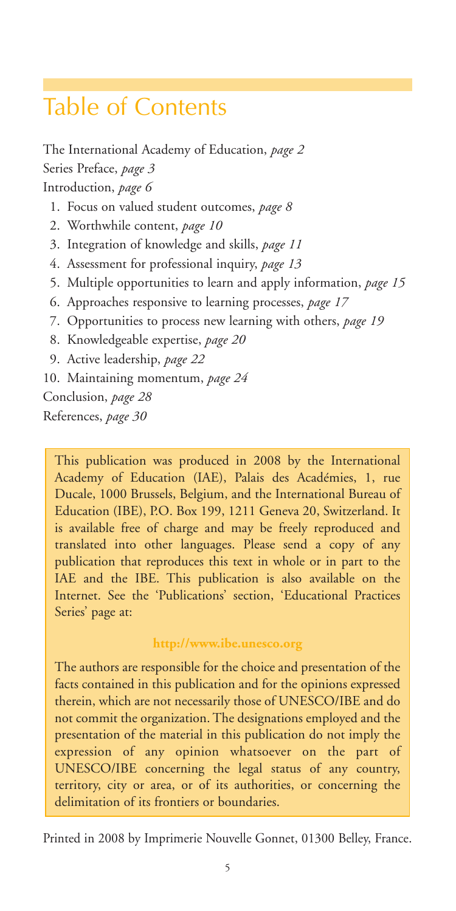# Table of Contents

The International Academy of Education, *page 2* Series Preface, *page 3* Introduction, *page 6*

- 1. Focus on valued student outcomes, *page 8*
- 2. Worthwhile content, *page 10*
- 3. Integration of knowledge and skills, *page 11*
- 4. Assessment for professional inquiry, *page 13*
- 5. Multiple opportunities to learn and apply information, *page 15*
- 6. Approaches responsive to learning processes, *page 17*
- 7. Opportunities to process new learning with others, *page 19*
- 8. Knowledgeable expertise, *page 20*
- 9. Active leadership, *page 22*
- 10. Maintaining momentum, *page 24*

Conclusion, *page 28* References, *page 30*

This publication was produced in 2008 by the International Academy of Education (IAE), Palais des Académies, 1, rue Ducale, 1000 Brussels, Belgium, and the International Bureau of Education (IBE), P.O. Box 199, 1211 Geneva 20, Switzerland. It is available free of charge and may be freely reproduced and translated into other languages. Please send a copy of any publication that reproduces this text in whole or in part to the IAE and the IBE. This publication is also available on the Internet. See the 'Publications' section, 'Educational Practices Series' page at:

#### **http://www.ibe.unesco.org**

The authors are responsible for the choice and presentation of the facts contained in this publication and for the opinions expressed therein, which are not necessarily those of UNESCO/IBE and do not commit the organization. The designations employed and the presentation of the material in this publication do not imply the expression of any opinion whatsoever on the part of UNESCO/IBE concerning the legal status of any country, territory, city or area, or of its authorities, or concerning the delimitation of its frontiers or boundaries.

Printed in 2008 by Imprimerie Nouvelle Gonnet, 01300 Belley, France.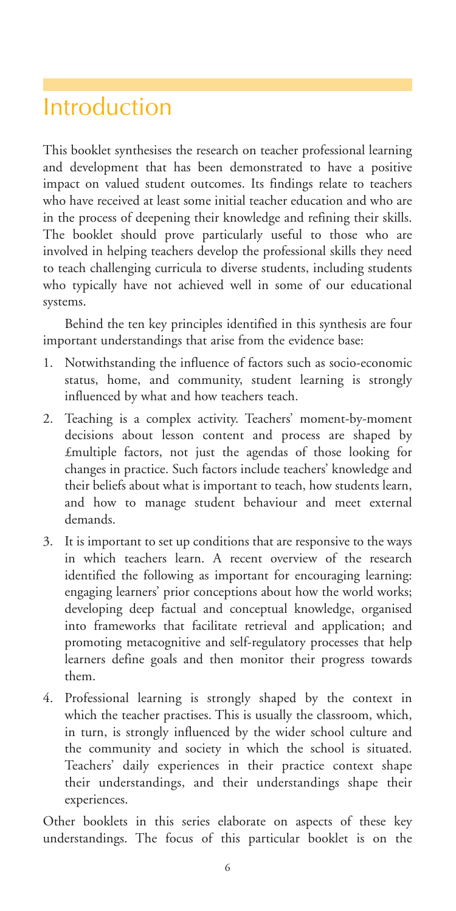### Introduction

This booklet synthesises the research on teacher professional learning and development that has been demonstrated to have a positive impact on valued student outcomes. Its findings relate to teachers who have received at least some initial teacher education and who are in the process of deepening their knowledge and refining their skills. The booklet should prove particularly useful to those who are involved in helping teachers develop the professional skills they need to teach challenging curricula to diverse students, including students who typically have not achieved well in some of our educational systems.

Behind the ten key principles identified in this synthesis are four important understandings that arise from the evidence base:

- 1. Notwithstanding the influence of factors such as socio-economic status, home, and community, student learning is strongly influenced by what and how teachers teach.
- 2. Teaching is a complex activity. Teachers' moment-by-moment decisions about lesson content and process are shaped by £multiple factors, not just the agendas of those looking for changes in practice. Such factors include teachers' knowledge and their beliefs about what is important to teach, how students learn, and how to manage student behaviour and meet external demands.
- 3. It is important to set up conditions that are responsive to the ways in which teachers learn. A recent overview of the research identified the following as important for encouraging learning: engaging learners' prior conceptions about how the world works; developing deep factual and conceptual knowledge, organised into frameworks that facilitate retrieval and application; and promoting metacognitive and self-regulatory processes that help learners define goals and then monitor their progress towards them.
- 4. Professional learning is strongly shaped by the context in which the teacher practises. This is usually the classroom, which, in turn, is strongly influenced by the wider school culture and the community and society in which the school is situated. Teachers' daily experiences in their practice context shape their understandings, and their understandings shape their experiences.

Other booklets in this series elaborate on aspects of these key understandings. The focus of this particular booklet is on the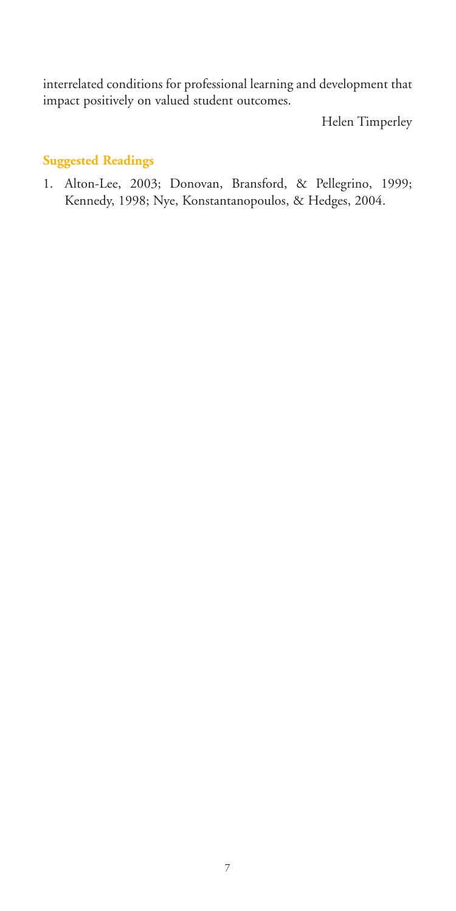interrelated conditions for professional learning and development that impact positively on valued student outcomes.

Helen Timperley

#### **Suggested Readings**

1. Alton-Lee, 2003; Donovan, Bransford, & Pellegrino, 1999; Kennedy, 1998; Nye, Konstantanopoulos, & Hedges, 2004.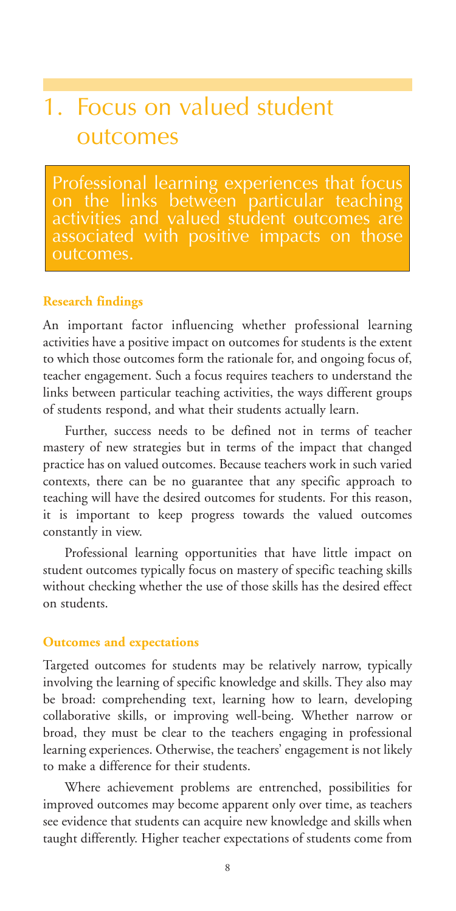# 1. Focus on valued student outcomes

Professional learning experiences that focus on the links between particular teaching activities and valued student outcomes are outcomes.

#### **Research findings**

An important factor influencing whether professional learning activities have a positive impact on outcomes for students is the extent to which those outcomes form the rationale for, and ongoing focus of, teacher engagement. Such a focus requires teachers to understand the links between particular teaching activities, the ways different groups of students respond, and what their students actually learn.

Further, success needs to be defined not in terms of teacher mastery of new strategies but in terms of the impact that changed practice has on valued outcomes. Because teachers work in such varied contexts, there can be no guarantee that any specific approach to teaching will have the desired outcomes for students. For this reason, it is important to keep progress towards the valued outcomes constantly in view.

Professional learning opportunities that have little impact on student outcomes typically focus on mastery of specific teaching skills without checking whether the use of those skills has the desired effect on students.

#### **Outcomes and expectations**

Targeted outcomes for students may be relatively narrow, typically involving the learning of specific knowledge and skills. They also may be broad: comprehending text, learning how to learn, developing collaborative skills, or improving well-being. Whether narrow or broad, they must be clear to the teachers engaging in professional learning experiences. Otherwise, the teachers' engagement is not likely to make a difference for their students.

Where achievement problems are entrenched, possibilities for improved outcomes may become apparent only over time, as teachers see evidence that students can acquire new knowledge and skills when taught differently. Higher teacher expectations of students come from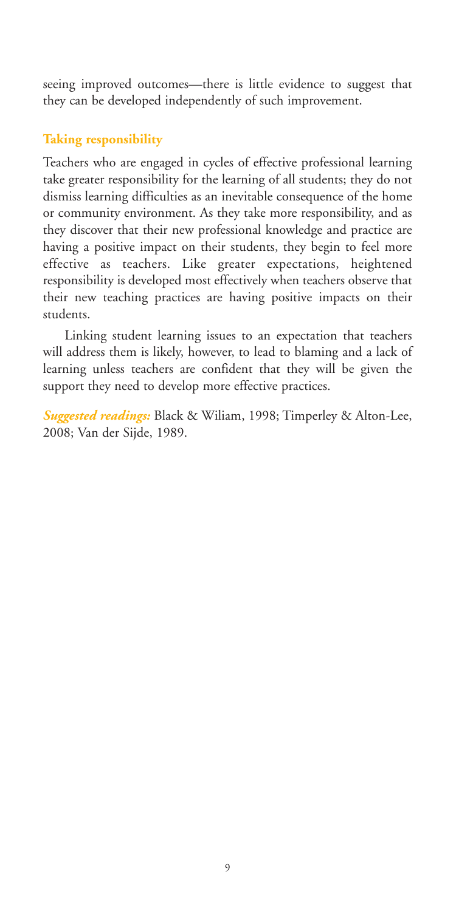seeing improved outcomes—there is little evidence to suggest that they can be developed independently of such improvement.

#### **Taking responsibility**

Teachers who are engaged in cycles of effective professional learning take greater responsibility for the learning of all students; they do not dismiss learning difficulties as an inevitable consequence of the home or community environment. As they take more responsibility, and as they discover that their new professional knowledge and practice are having a positive impact on their students, they begin to feel more effective as teachers. Like greater expectations, heightened responsibility is developed most effectively when teachers observe that their new teaching practices are having positive impacts on their students.

Linking student learning issues to an expectation that teachers will address them is likely, however, to lead to blaming and a lack of learning unless teachers are confident that they will be given the support they need to develop more effective practices.

*Suggested readings:* Black & Wiliam, 1998; Timperley & Alton-Lee, 2008; Van der Sijde, 1989.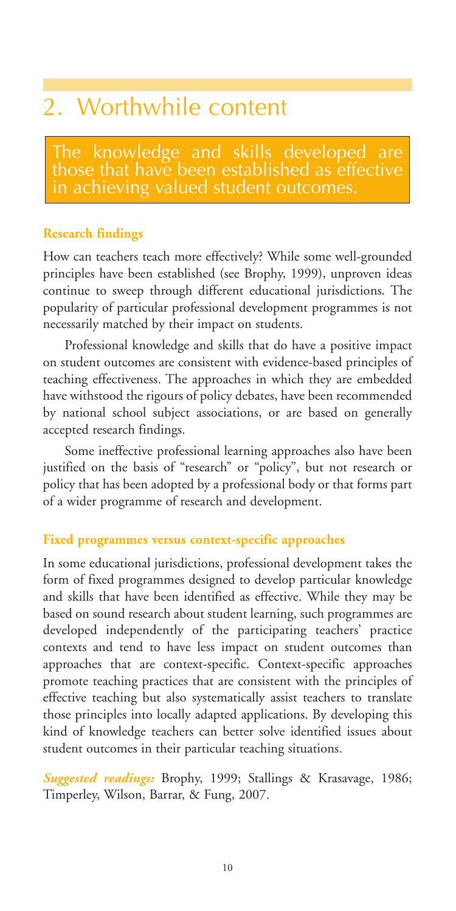### 2. Worthwhile content

The knowledge and skills developed are in achieving valued student outcomes.

#### **Research findings**

How can teachers teach more effectively? While some well-grounded principles have been established (see Brophy, 1999), unproven ideas continue to sweep through different educational jurisdictions. The popularity of particular professional development programmes is not necessarily matched by their impact on students.

Professional knowledge and skills that do have a positive impact on student outcomes are consistent with evidence-based principles of teaching effectiveness. The approaches in which they are embedded have withstood the rigours of policy debates, have been recommended by national school subject associations, or are based on generally accepted research findings.

Some ineffective professional learning approaches also have been justified on the basis of "research" or "policy", but not research or policy that has been adopted by a professional body or that forms part of a wider programme of research and development.

#### **Fixed programmes versus context-specific approaches**

In some educational jurisdictions, professional development takes the form of fixed programmes designed to develop particular knowledge and skills that have been identified as effective. While they may be based on sound research about student learning, such programmes are developed independently of the participating teachers' practice contexts and tend to have less impact on student outcomes than approaches that are context-specific. Context-specific approaches promote teaching practices that are consistent with the principles of effective teaching but also systematically assist teachers to translate those principles into locally adapted applications. By developing this kind of knowledge teachers can better solve identified issues about student outcomes in their particular teaching situations.

*Suggested readings:* Brophy, 1999; Stallings & Krasavage, 1986; Timperley, Wilson, Barrar, & Fung, 2007.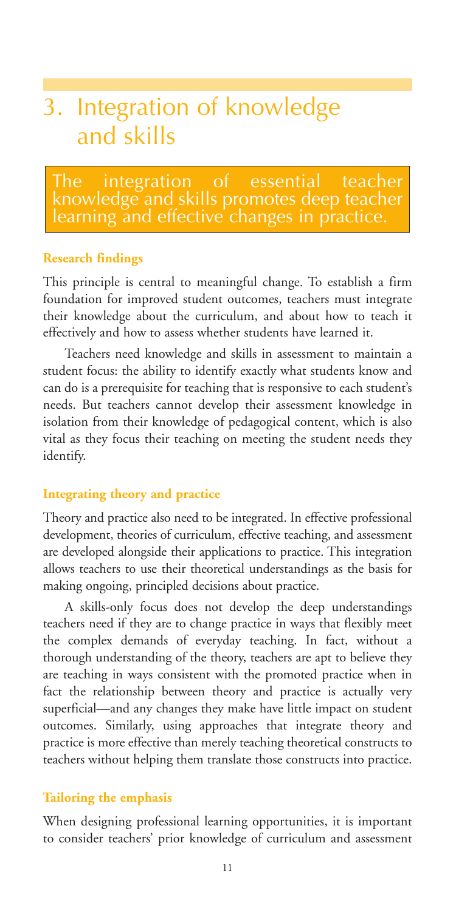# 3. Integration of knowledge and skills

The integration of essential teacher knowledge and skills promotes deep teacher earning and effective changes in practice.

#### **Research findings**

This principle is central to meaningful change. To establish a firm foundation for improved student outcomes, teachers must integrate their knowledge about the curriculum, and about how to teach it effectively and how to assess whether students have learned it.

Teachers need knowledge and skills in assessment to maintain a student focus: the ability to identify exactly what students know and can do is a prerequisite for teaching that is responsive to each student's needs. But teachers cannot develop their assessment knowledge in isolation from their knowledge of pedagogical content, which is also vital as they focus their teaching on meeting the student needs they identify.

#### **Integrating theory and practice**

Theory and practice also need to be integrated. In effective professional development, theories of curriculum, effective teaching, and assessment are developed alongside their applications to practice. This integration allows teachers to use their theoretical understandings as the basis for making ongoing, principled decisions about practice.

A skills-only focus does not develop the deep understandings teachers need if they are to change practice in ways that flexibly meet the complex demands of everyday teaching. In fact, without a thorough understanding of the theory, teachers are apt to believe they are teaching in ways consistent with the promoted practice when in fact the relationship between theory and practice is actually very superficial—and any changes they make have little impact on student outcomes. Similarly, using approaches that integrate theory and practice is more effective than merely teaching theoretical constructs to teachers without helping them translate those constructs into practice.

#### **Tailoring the emphasis**

When designing professional learning opportunities, it is important to consider teachers' prior knowledge of curriculum and assessment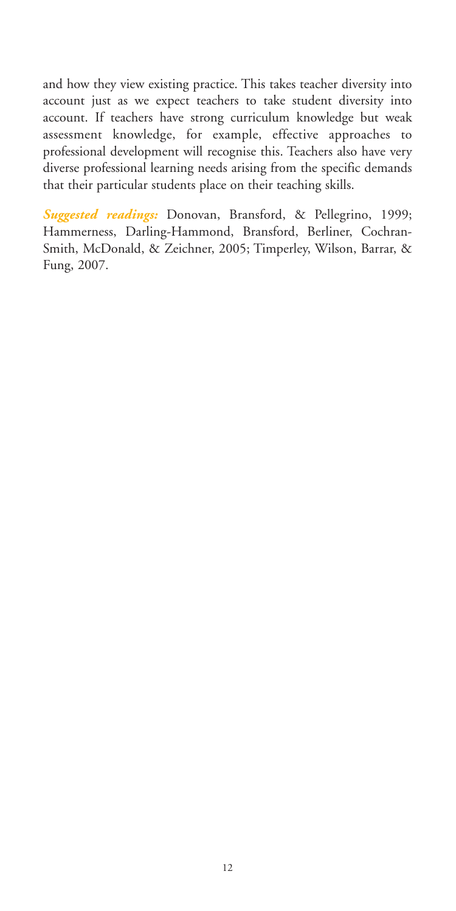and how they view existing practice. This takes teacher diversity into account just as we expect teachers to take student diversity into account. If teachers have strong curriculum knowledge but weak assessment knowledge, for example, effective approaches to professional development will recognise this. Teachers also have very diverse professional learning needs arising from the specific demands that their particular students place on their teaching skills.

*Suggested readings:* Donovan, Bransford, & Pellegrino, 1999; Hammerness, Darling-Hammond, Bransford, Berliner, Cochran-Smith, McDonald, & Zeichner, 2005; Timperley, Wilson, Barrar, & Fung, 2007.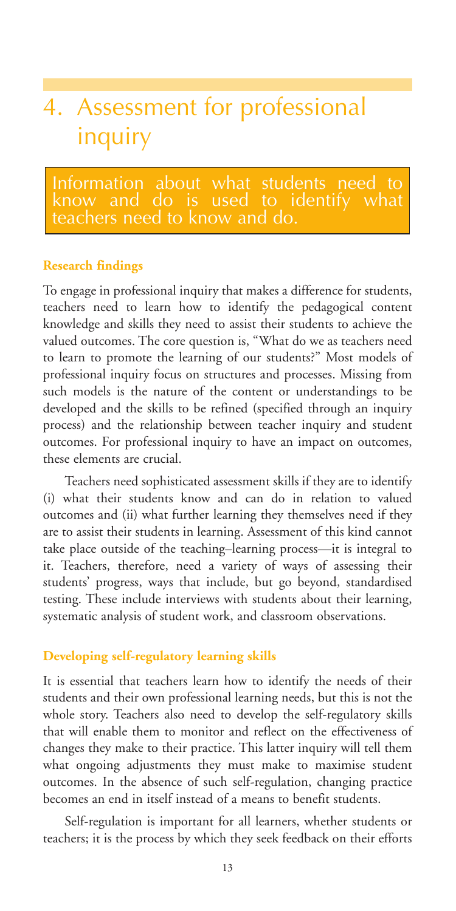# 4. Assessment for professional inquiry

Information about what students need to know and do is used to identify what

#### **Research findings**

To engage in professional inquiry that makes a difference for students, teachers need to learn how to identify the pedagogical content knowledge and skills they need to assist their students to achieve the valued outcomes. The core question is, "What do we as teachers need to learn to promote the learning of our students?" Most models of professional inquiry focus on structures and processes. Missing from such models is the nature of the content or understandings to be developed and the skills to be refined (specified through an inquiry process) and the relationship between teacher inquiry and student outcomes. For professional inquiry to have an impact on outcomes, these elements are crucial.

Teachers need sophisticated assessment skills if they are to identify (i) what their students know and can do in relation to valued outcomes and (ii) what further learning they themselves need if they are to assist their students in learning. Assessment of this kind cannot take place outside of the teaching–learning process—it is integral to it. Teachers, therefore, need a variety of ways of assessing their students' progress, ways that include, but go beyond, standardised testing. These include interviews with students about their learning, systematic analysis of student work, and classroom observations.

#### **Developing self-regulatory learning skills**

It is essential that teachers learn how to identify the needs of their students and their own professional learning needs, but this is not the whole story. Teachers also need to develop the self-regulatory skills that will enable them to monitor and reflect on the effectiveness of changes they make to their practice. This latter inquiry will tell them what ongoing adjustments they must make to maximise student outcomes. In the absence of such self-regulation, changing practice becomes an end in itself instead of a means to benefit students.

Self-regulation is important for all learners, whether students or teachers; it is the process by which they seek feedback on their efforts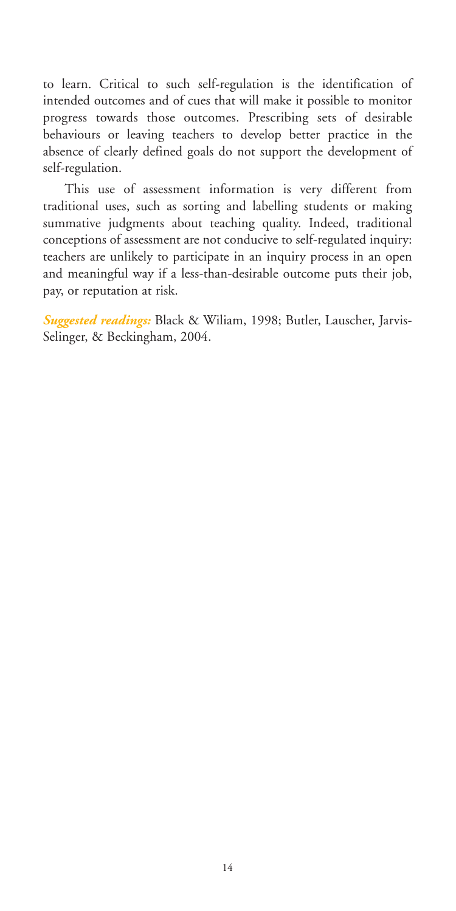to learn. Critical to such self-regulation is the identification of intended outcomes and of cues that will make it possible to monitor progress towards those outcomes. Prescribing sets of desirable behaviours or leaving teachers to develop better practice in the absence of clearly defined goals do not support the development of self-regulation.

This use of assessment information is very different from traditional uses, such as sorting and labelling students or making summative judgments about teaching quality. Indeed, traditional conceptions of assessment are not conducive to self-regulated inquiry: teachers are unlikely to participate in an inquiry process in an open and meaningful way if a less-than-desirable outcome puts their job, pay, or reputation at risk.

*Suggested readings:* Black & Wiliam, 1998; Butler, Lauscher, Jarvis-Selinger, & Beckingham, 2004.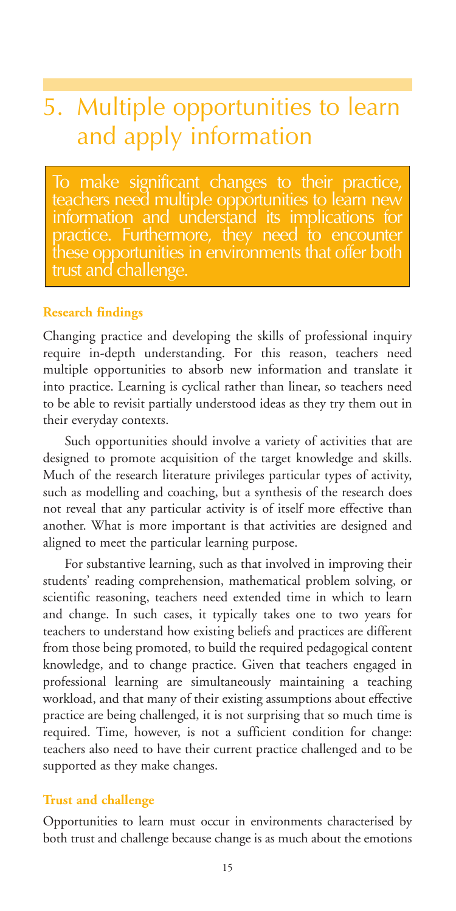# 5. Multiple opportunities to learn and apply information

To make significant changes to their practice, teachers need multiple opportunities to learn new information and understand its implications for practice. Furthermore, they need to encounter these opportunities in environments that offer both trust and challenge.

#### **Research findings**

Changing practice and developing the skills of professional inquiry require in-depth understanding. For this reason, teachers need multiple opportunities to absorb new information and translate it into practice. Learning is cyclical rather than linear, so teachers need to be able to revisit partially understood ideas as they try them out in their everyday contexts.

Such opportunities should involve a variety of activities that are designed to promote acquisition of the target knowledge and skills. Much of the research literature privileges particular types of activity, such as modelling and coaching, but a synthesis of the research does not reveal that any particular activity is of itself more effective than another. What is more important is that activities are designed and aligned to meet the particular learning purpose.

For substantive learning, such as that involved in improving their students' reading comprehension, mathematical problem solving, or scientific reasoning, teachers need extended time in which to learn and change. In such cases, it typically takes one to two years for teachers to understand how existing beliefs and practices are different from those being promoted, to build the required pedagogical content knowledge, and to change practice. Given that teachers engaged in professional learning are simultaneously maintaining a teaching workload, and that many of their existing assumptions about effective practice are being challenged, it is not surprising that so much time is required. Time, however, is not a sufficient condition for change: teachers also need to have their current practice challenged and to be supported as they make changes.

#### **Trust and challenge**

Opportunities to learn must occur in environments characterised by both trust and challenge because change is as much about the emotions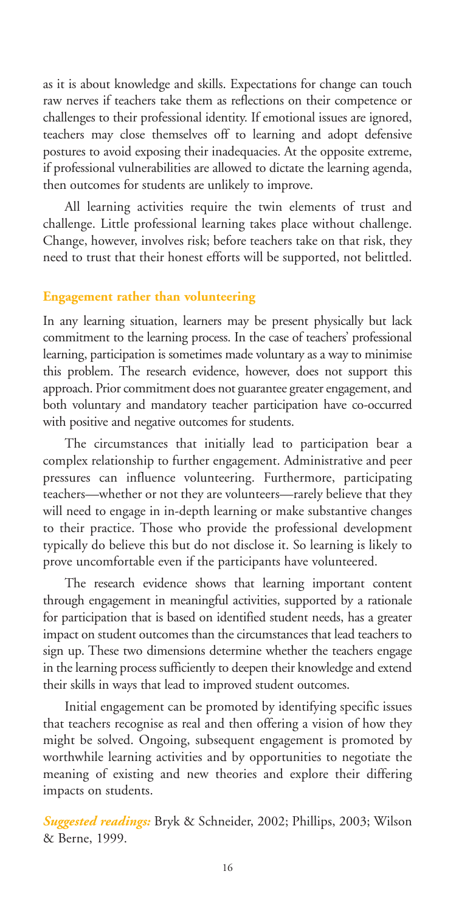as it is about knowledge and skills. Expectations for change can touch raw nerves if teachers take them as reflections on their competence or challenges to their professional identity. If emotional issues are ignored, teachers may close themselves off to learning and adopt defensive postures to avoid exposing their inadequacies. At the opposite extreme, if professional vulnerabilities are allowed to dictate the learning agenda, then outcomes for students are unlikely to improve.

All learning activities require the twin elements of trust and challenge. Little professional learning takes place without challenge. Change, however, involves risk; before teachers take on that risk, they need to trust that their honest efforts will be supported, not belittled.

#### **Engagement rather than volunteering**

In any learning situation, learners may be present physically but lack commitment to the learning process. In the case of teachers' professional learning, participation is sometimes made voluntary as a way to minimise this problem. The research evidence, however, does not support this approach. Prior commitment does not guarantee greater engagement, and both voluntary and mandatory teacher participation have co-occurred with positive and negative outcomes for students.

The circumstances that initially lead to participation bear a complex relationship to further engagement. Administrative and peer pressures can influence volunteering. Furthermore, participating teachers—whether or not they are volunteers—rarely believe that they will need to engage in in-depth learning or make substantive changes to their practice. Those who provide the professional development typically do believe this but do not disclose it. So learning is likely to prove uncomfortable even if the participants have volunteered.

The research evidence shows that learning important content through engagement in meaningful activities, supported by a rationale for participation that is based on identified student needs, has a greater impact on student outcomes than the circumstances that lead teachers to sign up. These two dimensions determine whether the teachers engage in the learning process sufficiently to deepen their knowledge and extend their skills in ways that lead to improved student outcomes.

Initial engagement can be promoted by identifying specific issues that teachers recognise as real and then offering a vision of how they might be solved. Ongoing, subsequent engagement is promoted by worthwhile learning activities and by opportunities to negotiate the meaning of existing and new theories and explore their differing impacts on students.

*Suggested readings:* Bryk & Schneider, 2002; Phillips, 2003; Wilson & Berne, 1999.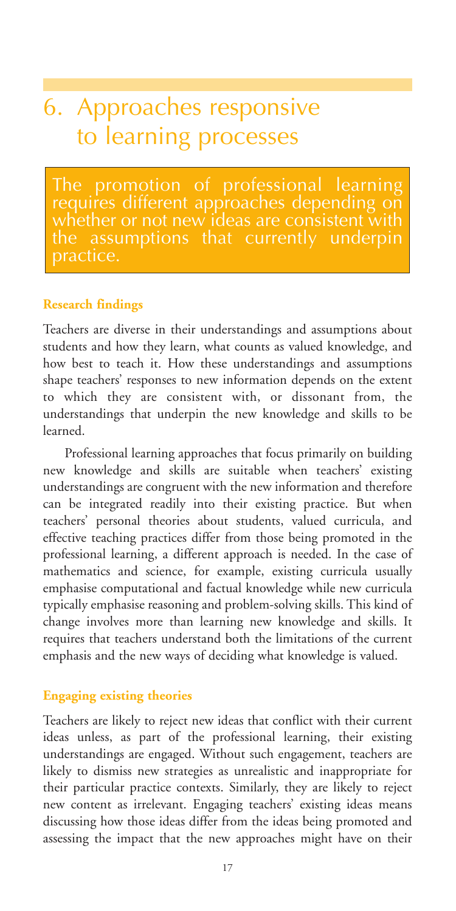# 6. Approaches responsive to learning processes

The promotion of professional learning requires different approaches depending on whether or not new ideas are consistent with assumptions that currently underpin oractice.

#### **Research findings**

Teachers are diverse in their understandings and assumptions about students and how they learn, what counts as valued knowledge, and how best to teach it. How these understandings and assumptions shape teachers' responses to new information depends on the extent to which they are consistent with, or dissonant from, the understandings that underpin the new knowledge and skills to be learned.

Professional learning approaches that focus primarily on building new knowledge and skills are suitable when teachers' existing understandings are congruent with the new information and therefore can be integrated readily into their existing practice. But when teachers' personal theories about students, valued curricula, and effective teaching practices differ from those being promoted in the professional learning, a different approach is needed. In the case of mathematics and science, for example, existing curricula usually emphasise computational and factual knowledge while new curricula typically emphasise reasoning and problem-solving skills. This kind of change involves more than learning new knowledge and skills. It requires that teachers understand both the limitations of the current emphasis and the new ways of deciding what knowledge is valued.

#### **Engaging existing theories**

Teachers are likely to reject new ideas that conflict with their current ideas unless, as part of the professional learning, their existing understandings are engaged. Without such engagement, teachers are likely to dismiss new strategies as unrealistic and inappropriate for their particular practice contexts. Similarly, they are likely to reject new content as irrelevant. Engaging teachers' existing ideas means discussing how those ideas differ from the ideas being promoted and assessing the impact that the new approaches might have on their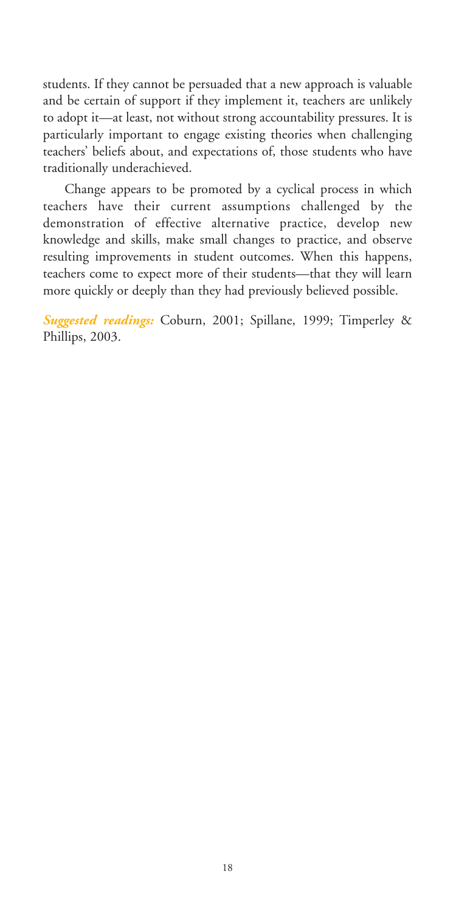students. If they cannot be persuaded that a new approach is valuable and be certain of support if they implement it, teachers are unlikely to adopt it—at least, not without strong accountability pressures. It is particularly important to engage existing theories when challenging teachers' beliefs about, and expectations of, those students who have traditionally underachieved.

Change appears to be promoted by a cyclical process in which teachers have their current assumptions challenged by the demonstration of effective alternative practice, develop new knowledge and skills, make small changes to practice, and observe resulting improvements in student outcomes. When this happens, teachers come to expect more of their students—that they will learn more quickly or deeply than they had previously believed possible.

*Suggested readings:* Coburn, 2001; Spillane, 1999; Timperley & Phillips, 2003.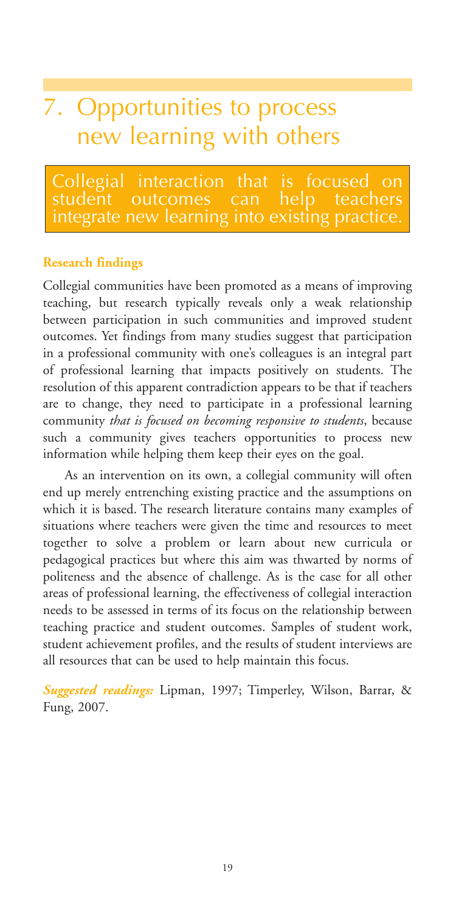# 7. Opportunities to process new learning with others

Collegial interaction that is focused on<br>student outcomes can help teachers outcomes can grate new learning into existing practice.

#### **Research findings**

Collegial communities have been promoted as a means of improving teaching, but research typically reveals only a weak relationship between participation in such communities and improved student outcomes. Yet findings from many studies suggest that participation in a professional community with one's colleagues is an integral part of professional learning that impacts positively on students. The resolution of this apparent contradiction appears to be that if teachers are to change, they need to participate in a professional learning community *that is focused on becoming responsive to students*, because such a community gives teachers opportunities to process new information while helping them keep their eyes on the goal.

As an intervention on its own, a collegial community will often end up merely entrenching existing practice and the assumptions on which it is based. The research literature contains many examples of situations where teachers were given the time and resources to meet together to solve a problem or learn about new curricula or pedagogical practices but where this aim was thwarted by norms of politeness and the absence of challenge. As is the case for all other areas of professional learning, the effectiveness of collegial interaction needs to be assessed in terms of its focus on the relationship between teaching practice and student outcomes. Samples of student work, student achievement profiles, and the results of student interviews are all resources that can be used to help maintain this focus.

*Suggested readings:* Lipman, 1997; Timperley, Wilson, Barrar, & Fung, 2007.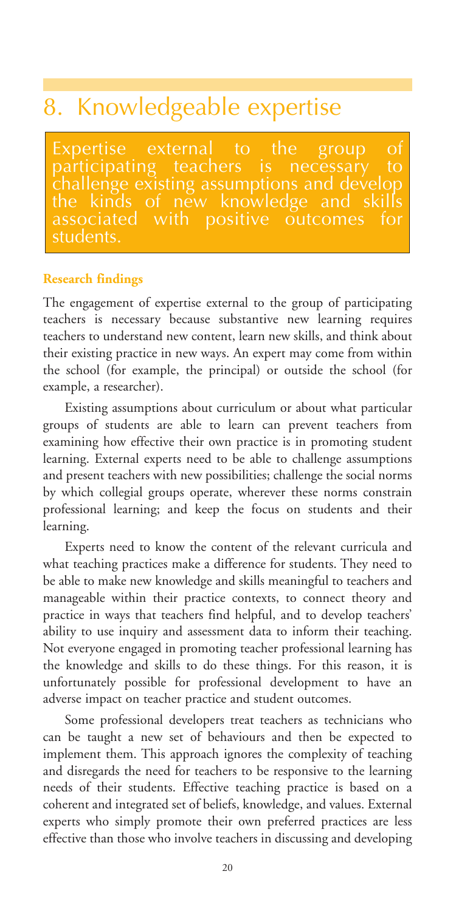### 8. Knowledgeable expertise

Expertise external to the group of<br>participating teachers is necessary to participating teachers is necessary to challenge existing assumptions and develop the kinds of new knowledge and<br>associated with positive outcome **positive outcomes for** students.

#### **Research findings**

The engagement of expertise external to the group of participating teachers is necessary because substantive new learning requires teachers to understand new content, learn new skills, and think about their existing practice in new ways. An expert may come from within the school (for example, the principal) or outside the school (for example, a researcher).

Existing assumptions about curriculum or about what particular groups of students are able to learn can prevent teachers from examining how effective their own practice is in promoting student learning. External experts need to be able to challenge assumptions and present teachers with new possibilities; challenge the social norms by which collegial groups operate, wherever these norms constrain professional learning; and keep the focus on students and their learning.

Experts need to know the content of the relevant curricula and what teaching practices make a difference for students. They need to be able to make new knowledge and skills meaningful to teachers and manageable within their practice contexts, to connect theory and practice in ways that teachers find helpful, and to develop teachers' ability to use inquiry and assessment data to inform their teaching. Not everyone engaged in promoting teacher professional learning has the knowledge and skills to do these things. For this reason, it is unfortunately possible for professional development to have an adverse impact on teacher practice and student outcomes.

Some professional developers treat teachers as technicians who can be taught a new set of behaviours and then be expected to implement them. This approach ignores the complexity of teaching and disregards the need for teachers to be responsive to the learning needs of their students. Effective teaching practice is based on a coherent and integrated set of beliefs, knowledge, and values. External experts who simply promote their own preferred practices are less effective than those who involve teachers in discussing and developing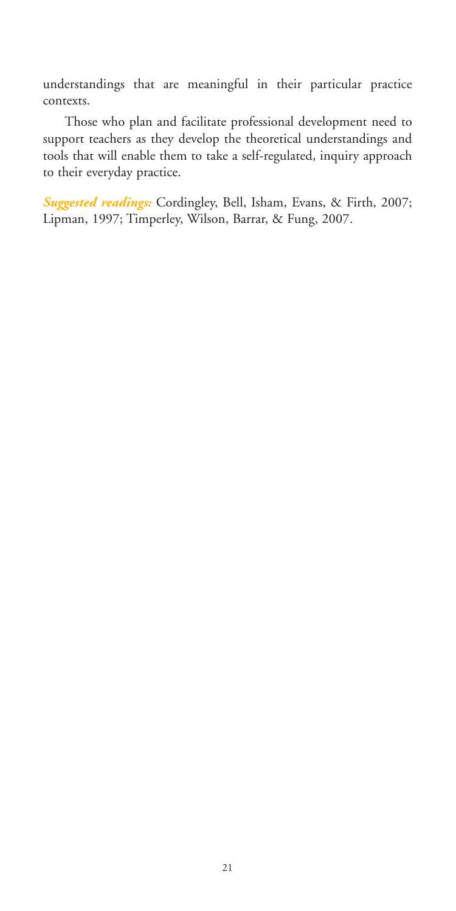understandings that are meaningful in their particular practice contexts.

Those who plan and facilitate professional development need to support teachers as they develop the theoretical understandings and tools that will enable them to take a self-regulated, inquiry approach to their everyday practice.

*Suggested readings:* Cordingley, Bell, Isham, Evans, & Firth, 2007; Lipman, 1997; Timperley, Wilson, Barrar, & Fung, 2007.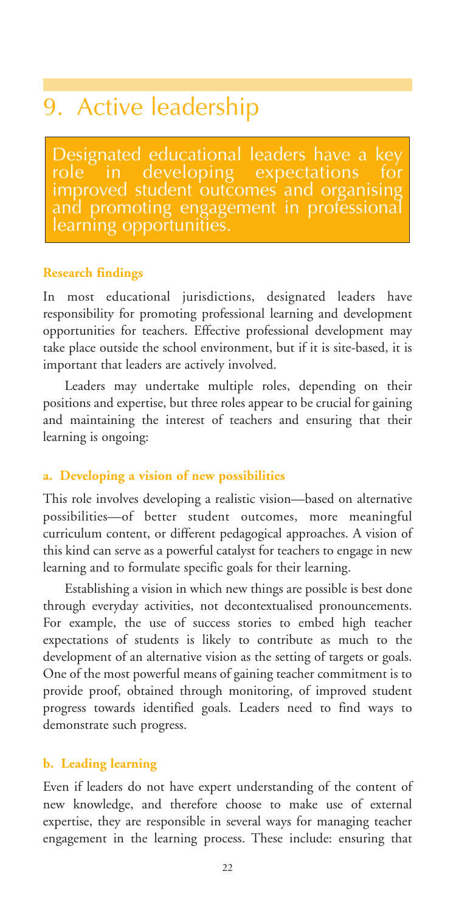# 9. Active leadership

Designated educational leaders have a key improved student outcomes and organising and promoting engagement in professional learning opportunities.

#### **Research findings**

In most educational jurisdictions, designated leaders have responsibility for promoting professional learning and development opportunities for teachers. Effective professional development may take place outside the school environment, but if it is site-based, it is important that leaders are actively involved.

Leaders may undertake multiple roles, depending on their positions and expertise, but three roles appear to be crucial for gaining and maintaining the interest of teachers and ensuring that their learning is ongoing:

#### **a. Developing a vision of new possibilities**

This role involves developing a realistic vision—based on alternative possibilities—of better student outcomes, more meaningful curriculum content, or different pedagogical approaches. A vision of this kind can serve as a powerful catalyst for teachers to engage in new learning and to formulate specific goals for their learning.

Establishing a vision in which new things are possible is best done through everyday activities, not decontextualised pronouncements. For example, the use of success stories to embed high teacher expectations of students is likely to contribute as much to the development of an alternative vision as the setting of targets or goals. One of the most powerful means of gaining teacher commitment is to provide proof, obtained through monitoring, of improved student progress towards identified goals. Leaders need to find ways to demonstrate such progress.

#### **b. Leading learning**

Even if leaders do not have expert understanding of the content of new knowledge, and therefore choose to make use of external expertise, they are responsible in several ways for managing teacher engagement in the learning process. These include: ensuring that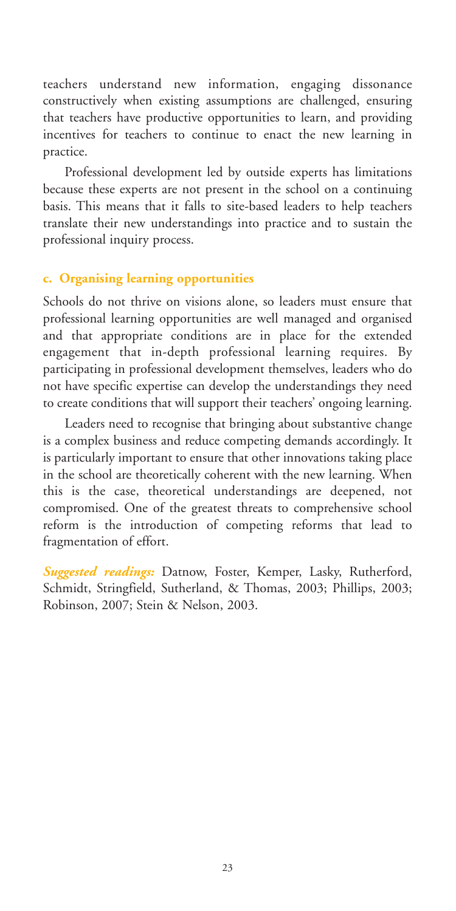teachers understand new information, engaging dissonance constructively when existing assumptions are challenged, ensuring that teachers have productive opportunities to learn, and providing incentives for teachers to continue to enact the new learning in practice.

Professional development led by outside experts has limitations because these experts are not present in the school on a continuing basis. This means that it falls to site-based leaders to help teachers translate their new understandings into practice and to sustain the professional inquiry process.

#### **c. Organising learning opportunities**

Schools do not thrive on visions alone, so leaders must ensure that professional learning opportunities are well managed and organised and that appropriate conditions are in place for the extended engagement that in-depth professional learning requires. By participating in professional development themselves, leaders who do not have specific expertise can develop the understandings they need to create conditions that will support their teachers' ongoing learning.

Leaders need to recognise that bringing about substantive change is a complex business and reduce competing demands accordingly. It is particularly important to ensure that other innovations taking place in the school are theoretically coherent with the new learning. When this is the case, theoretical understandings are deepened, not compromised. One of the greatest threats to comprehensive school reform is the introduction of competing reforms that lead to fragmentation of effort.

*Suggested readings:* Datnow, Foster, Kemper, Lasky, Rutherford, Schmidt, Stringfield, Sutherland, & Thomas, 2003; Phillips, 2003; Robinson, 2007; Stein & Nelson, 2003.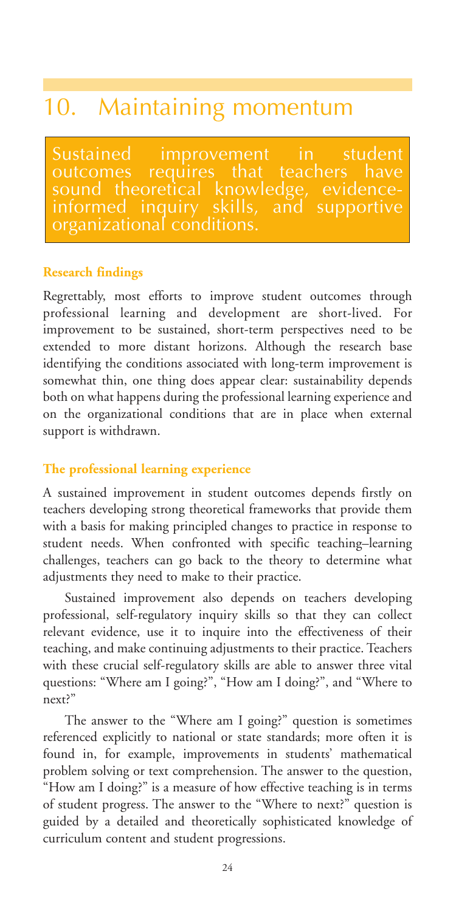### 10. Maintaining momentum

Sustained improvement in student<br>outcomes requires that teachers have outcomes requires that teachers have<br>sound theoretical knowledge, evidencetheoretical knowledge, evidence-<br>d inquiry skills, and supportive med inquiry s zanizational conditions

#### **Research findings**

Regrettably, most efforts to improve student outcomes through professional learning and development are short-lived. For improvement to be sustained, short-term perspectives need to be extended to more distant horizons. Although the research base identifying the conditions associated with long-term improvement is somewhat thin, one thing does appear clear: sustainability depends both on what happens during the professional learning experience and on the organizational conditions that are in place when external support is withdrawn.

#### **The professional learning experience**

A sustained improvement in student outcomes depends firstly on teachers developing strong theoretical frameworks that provide them with a basis for making principled changes to practice in response to student needs. When confronted with specific teaching–learning challenges, teachers can go back to the theory to determine what adjustments they need to make to their practice.

Sustained improvement also depends on teachers developing professional, self-regulatory inquiry skills so that they can collect relevant evidence, use it to inquire into the effectiveness of their teaching, and make continuing adjustments to their practice. Teachers with these crucial self-regulatory skills are able to answer three vital questions: "Where am I going?", "How am I doing?", and "Where to next?"

The answer to the "Where am I going?" question is sometimes referenced explicitly to national or state standards; more often it is found in, for example, improvements in students' mathematical problem solving or text comprehension. The answer to the question, "How am I doing?" is a measure of how effective teaching is in terms of student progress. The answer to the "Where to next?" question is guided by a detailed and theoretically sophisticated knowledge of curriculum content and student progressions.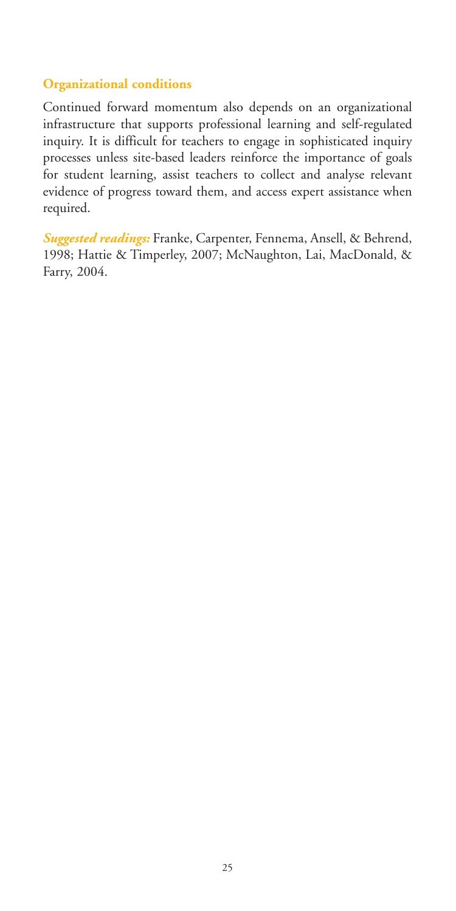#### **Organizational conditions**

Continued forward momentum also depends on an organizational infrastructure that supports professional learning and self-regulated inquiry. It is difficult for teachers to engage in sophisticated inquiry processes unless site-based leaders reinforce the importance of goals for student learning, assist teachers to collect and analyse relevant evidence of progress toward them, and access expert assistance when required.

*Suggested readings:* Franke, Carpenter, Fennema, Ansell, & Behrend, 1998; Hattie & Timperley, 2007; McNaughton, Lai, MacDonald, & Farry, 2004.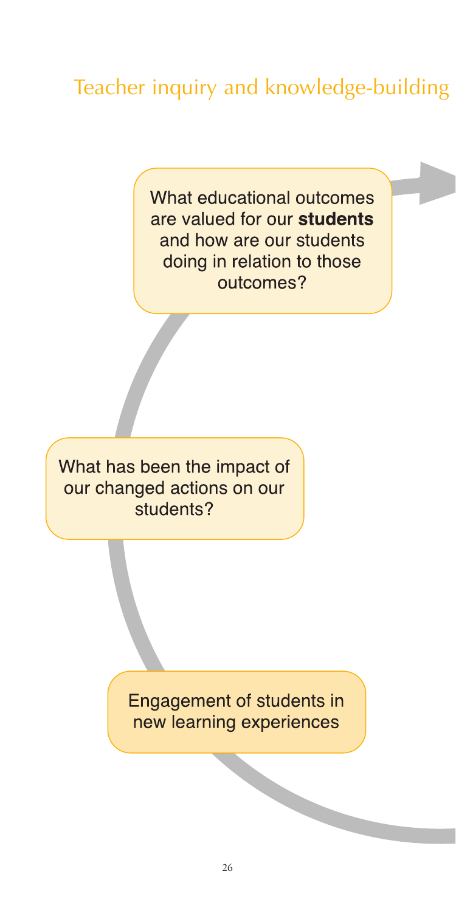### Teacher inquiry and knowledge-building

What educational outcomes are valued for our students and how are our students doing in relation to those outcomes?

What has been the impact of our changed actions on our students?

> Engagement of students in new learning experiences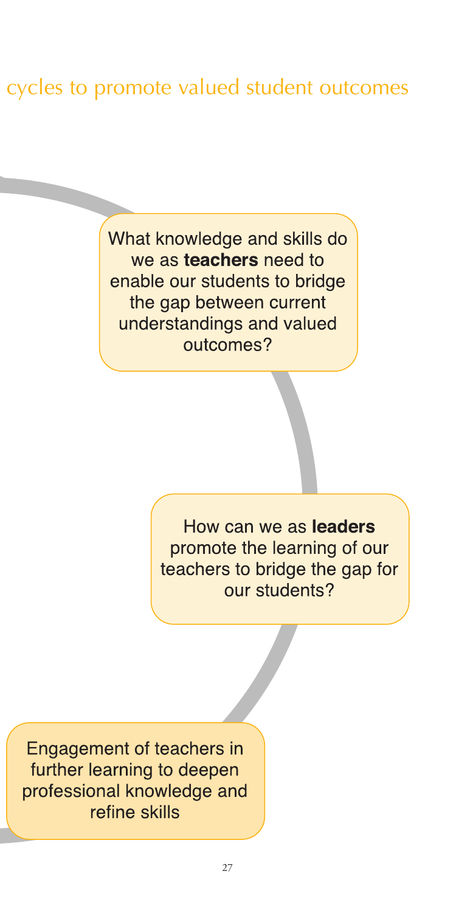### cycles to promote valued student outcomes

What knowledge and skills do we as teachers need to enable our students to bridge the gap between current understandings and valued outcomes?

> How can we as leaders promote the learning of our teachers to bridge the gap for our students?

**Engagement of teachers in** further learning to deepen professional knowledge and refine skills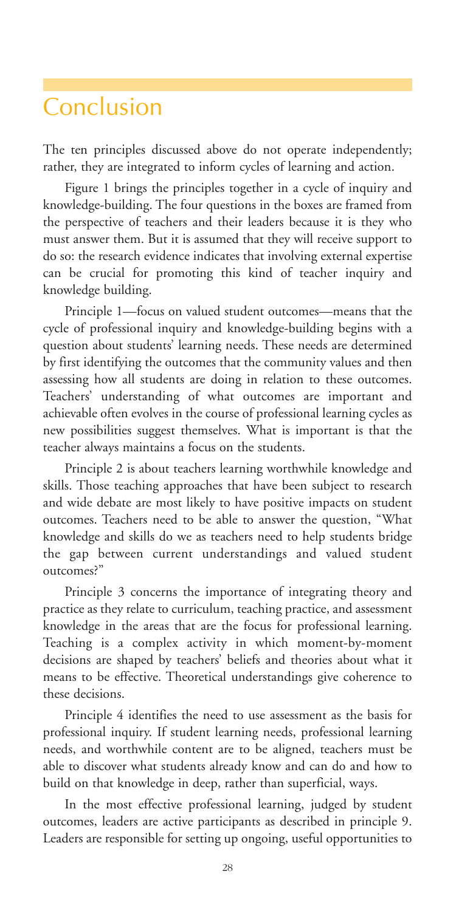### Conclusion

The ten principles discussed above do not operate independently; rather, they are integrated to inform cycles of learning and action.

Figure 1 brings the principles together in a cycle of inquiry and knowledge-building. The four questions in the boxes are framed from the perspective of teachers and their leaders because it is they who must answer them. But it is assumed that they will receive support to do so: the research evidence indicates that involving external expertise can be crucial for promoting this kind of teacher inquiry and knowledge building.

Principle 1—focus on valued student outcomes—means that the cycle of professional inquiry and knowledge-building begins with a question about students' learning needs. These needs are determined by first identifying the outcomes that the community values and then assessing how all students are doing in relation to these outcomes. Teachers' understanding of what outcomes are important and achievable often evolves in the course of professional learning cycles as new possibilities suggest themselves. What is important is that the teacher always maintains a focus on the students.

Principle 2 is about teachers learning worthwhile knowledge and skills. Those teaching approaches that have been subject to research and wide debate are most likely to have positive impacts on student outcomes. Teachers need to be able to answer the question, "What knowledge and skills do we as teachers need to help students bridge the gap between current understandings and valued student outcomes?"

Principle 3 concerns the importance of integrating theory and practice as they relate to curriculum, teaching practice, and assessment knowledge in the areas that are the focus for professional learning. Teaching is a complex activity in which moment-by-moment decisions are shaped by teachers' beliefs and theories about what it means to be effective. Theoretical understandings give coherence to these decisions.

Principle 4 identifies the need to use assessment as the basis for professional inquiry. If student learning needs, professional learning needs, and worthwhile content are to be aligned, teachers must be able to discover what students already know and can do and how to build on that knowledge in deep, rather than superficial, ways.

In the most effective professional learning, judged by student outcomes, leaders are active participants as described in principle 9. Leaders are responsible for setting up ongoing, useful opportunities to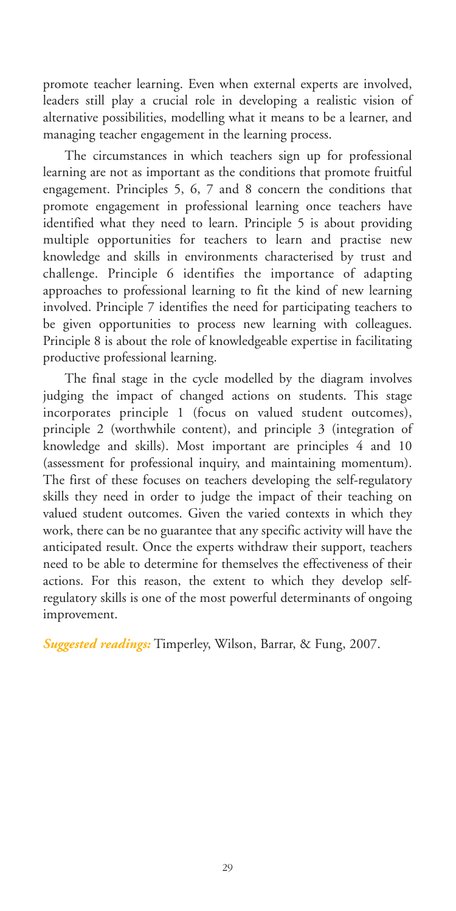promote teacher learning. Even when external experts are involved, leaders still play a crucial role in developing a realistic vision of alternative possibilities, modelling what it means to be a learner, and managing teacher engagement in the learning process.

The circumstances in which teachers sign up for professional learning are not as important as the conditions that promote fruitful engagement. Principles 5, 6, 7 and 8 concern the conditions that promote engagement in professional learning once teachers have identified what they need to learn. Principle 5 is about providing multiple opportunities for teachers to learn and practise new knowledge and skills in environments characterised by trust and challenge. Principle 6 identifies the importance of adapting approaches to professional learning to fit the kind of new learning involved. Principle 7 identifies the need for participating teachers to be given opportunities to process new learning with colleagues. Principle 8 is about the role of knowledgeable expertise in facilitating productive professional learning.

The final stage in the cycle modelled by the diagram involves judging the impact of changed actions on students. This stage incorporates principle 1 (focus on valued student outcomes), principle 2 (worthwhile content), and principle 3 (integration of knowledge and skills). Most important are principles 4 and 10 (assessment for professional inquiry, and maintaining momentum). The first of these focuses on teachers developing the self-regulatory skills they need in order to judge the impact of their teaching on valued student outcomes. Given the varied contexts in which they work, there can be no guarantee that any specific activity will have the anticipated result. Once the experts withdraw their support, teachers need to be able to determine for themselves the effectiveness of their actions. For this reason, the extent to which they develop selfregulatory skills is one of the most powerful determinants of ongoing improvement.

*Suggested readings:* Timperley, Wilson, Barrar, & Fung, 2007.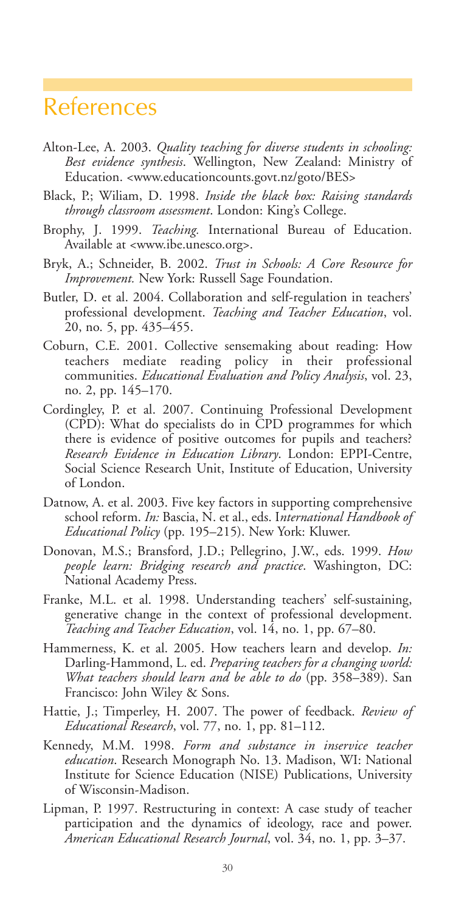### References

- Alton-Lee, A. 2003. *Quality teaching for diverse students in schooling: Best evidence synthesis*. Wellington, New Zealand: Ministry of Education. <www.educationcounts.govt.nz/goto/BES>
- Black, P.; Wiliam, D. 1998. *Inside the black box: Raising standards through classroom assessment*. London: King's College.
- Brophy, J. 1999. *Teaching.* International Bureau of Education. Available at <www.ibe.unesco.org>.
- Bryk, A.; Schneider, B. 2002. *Trust in Schools: A Core Resource for Improvement.* New York: Russell Sage Foundation.
- Butler, D. et al. 2004. Collaboration and self-regulation in teachers' professional development. *Teaching and Teacher Education*, vol. 20, no. 5, pp. 435–455.
- Coburn, C.E. 2001. Collective sensemaking about reading: How teachers mediate reading policy in their professional communities. *Educational Evaluation and Policy Analysis*, vol. 23, no. 2, pp. 145–170.
- Cordingley, P. et al. 2007. Continuing Professional Development (CPD): What do specialists do in CPD programmes for which there is evidence of positive outcomes for pupils and teachers? *Research Evidence in Education Library*. London: EPPI-Centre, Social Science Research Unit, Institute of Education, University of London.
- Datnow, A. et al. 2003. Five key factors in supporting comprehensive school reform. *In:* Bascia, N. et al., eds. I*nternational Handbook of Educational Policy* (pp. 195–215). New York: Kluwer.
- Donovan, M.S.; Bransford, J.D.; Pellegrino, J.W., eds. 1999. *How people learn: Bridging research and practice*. Washington, DC: National Academy Press.
- Franke, M.L. et al. 1998. Understanding teachers' self-sustaining, generative change in the context of professional development. *Teaching and Teacher Education*, vol. 14, no. 1, pp. 67–80.
- Hammerness, K. et al. 2005. How teachers learn and develop. *In:* Darling-Hammond, L. ed. *Preparing teachers for a changing world: What teachers should learn and be able to do* (pp. 358–389). San Francisco: John Wiley & Sons.
- Hattie, J.; Timperley, H. 2007. The power of feedback. *Review of Educational Research*, vol. 77, no. 1, pp. 81–112.
- Kennedy, M.M. 1998. *Form and substance in inservice teacher education*. Research Monograph No. 13. Madison, WI: National Institute for Science Education (NISE) Publications, University of Wisconsin-Madison.
- Lipman, P. 1997. Restructuring in context: A case study of teacher participation and the dynamics of ideology, race and power. *American Educational Research Journal*, vol. 34, no. 1, pp. 3–37.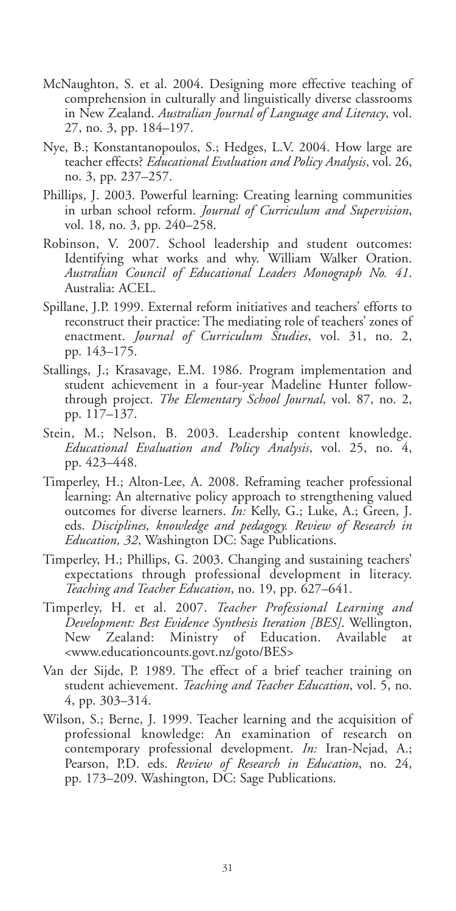- McNaughton, S. et al. 2004. Designing more effective teaching of comprehension in culturally and linguistically diverse classrooms in New Zealand. *Australian Journal of Language and Literacy*, vol. 27, no. 3, pp. 184–197.
- Nye, B.; Konstantanopoulos, S.; Hedges, L.V. 2004. How large are teacher effects? *Educational Evaluation and Policy Analysis*, vol. 26, no. 3, pp. 237–257.
- Phillips, J. 2003. Powerful learning: Creating learning communities in urban school reform. *Journal of Curriculum and Supervision*, vol. 18, no. 3, pp. 240–258.
- Robinson, V. 2007. School leadership and student outcomes: Identifying what works and why. William Walker Oration. *Australian Council of Educational Leaders Monograph No. 41*. Australia: ACEL.
- Spillane, J.P. 1999. External reform initiatives and teachers' efforts to reconstruct their practice: The mediating role of teachers' zones of enactment. *Journal of Curriculum Studies*, vol. 31, no. 2, pp. 143–175.
- Stallings, J.; Krasavage, E.M. 1986. Program implementation and student achievement in a four-year Madeline Hunter followthrough project. *The Elementary School Journal*, vol. 87, no. 2, pp. 117–137.
- Stein, M.; Nelson, B. 2003. Leadership content knowledge. *Educational Evaluation and Policy Analysis*, vol. 25, no. 4, pp. 423–448.
- Timperley, H.; Alton-Lee, A. 2008. Reframing teacher professional learning: An alternative policy approach to strengthening valued outcomes for diverse learners. *In:* Kelly, G.; Luke, A.; Green, J. eds. *Disciplines, knowledge and pedagogy. Review of Research in Education, 32*, Washington DC: Sage Publications.
- Timperley, H.; Phillips, G. 2003. Changing and sustaining teachers' expectations through professional development in literacy. *Teaching and Teacher Education*, no. 19, pp. 627–641.
- Timperley, H. et al. 2007. *Teacher Professional Learning and Development: Best Evidence Synthesis Iteration [BES]*. Wellington, New Zealand: Ministry of Education. Available at <www.educationcounts.govt.nz/goto/BES>
- Van der Sijde, P. 1989. The effect of a brief teacher training on student achievement. *Teaching and Teacher Education*, vol. 5, no. 4, pp. 303–314.
- Wilson, S.; Berne, J. 1999. Teacher learning and the acquisition of professional knowledge: An examination of research on contemporary professional development. *In:* Iran-Nejad, A.; Pearson, P.D. eds. *Review of Research in Education*, no. 24, pp. 173–209. Washington, DC: Sage Publications.